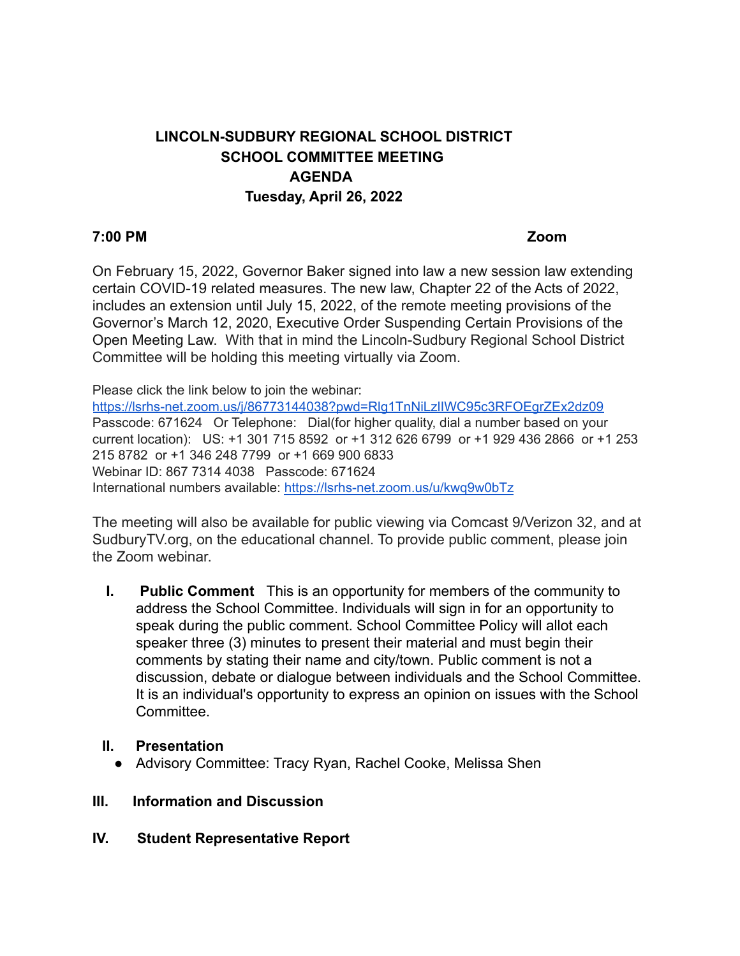# **LINCOLN-SUDBURY REGIONAL SCHOOL DISTRICT SCHOOL COMMITTEE MEETING AGENDA Tuesday, April 26, 2022**

#### **7:00 PM Zoom**

On February 15, 2022, Governor Baker signed into law a new session law extending certain COVID-19 related measures. The new law, Chapter 22 of the Acts of 2022, includes an extension until July 15, 2022, of the remote meeting provisions of the Governor's March 12, 2020, Executive Order Suspending Certain Provisions of the Open Meeting Law. With that in mind the Lincoln-Sudbury Regional School District Committee will be holding this meeting virtually via Zoom.

Please click the link below to join the webinar:

<https://lsrhs-net.zoom.us/j/86773144038?pwd=Rlg1TnNiLzlIWC95c3RFOEgrZEx2dz09> Passcode: 671624 Or Telephone: Dial(for higher quality, dial a number based on your current location): US: +1 301 715 8592 or +1 312 626 6799 or +1 929 436 2866 or +1 253 215 8782 or +1 346 248 7799 or +1 669 900 6833 Webinar ID: 867 7314 4038 Passcode: 671624 International numbers available: <https://lsrhs-net.zoom.us/u/kwq9w0bTz>

The meeting will also be available for public viewing via Comcast 9/Verizon 32, and at SudburyTV.org, on the educational channel. To provide public comment, please join the Zoom webinar.

**I. Public Comment** This is an opportunity for members of the community to address the School Committee. Individuals will sign in for an opportunity to speak during the public comment. School Committee Policy will allot each speaker three (3) minutes to present their material and must begin their comments by stating their name and city/town. Public comment is not a discussion, debate or dialogue between individuals and the School Committee. It is an individual's opportunity to express an opinion on issues with the School **Committee.** 

#### **II. Presentation**

● Advisory Committee: Tracy Ryan, Rachel Cooke, Melissa Shen

#### **III. Information and Discussion**

#### **IV. Student Representative Report**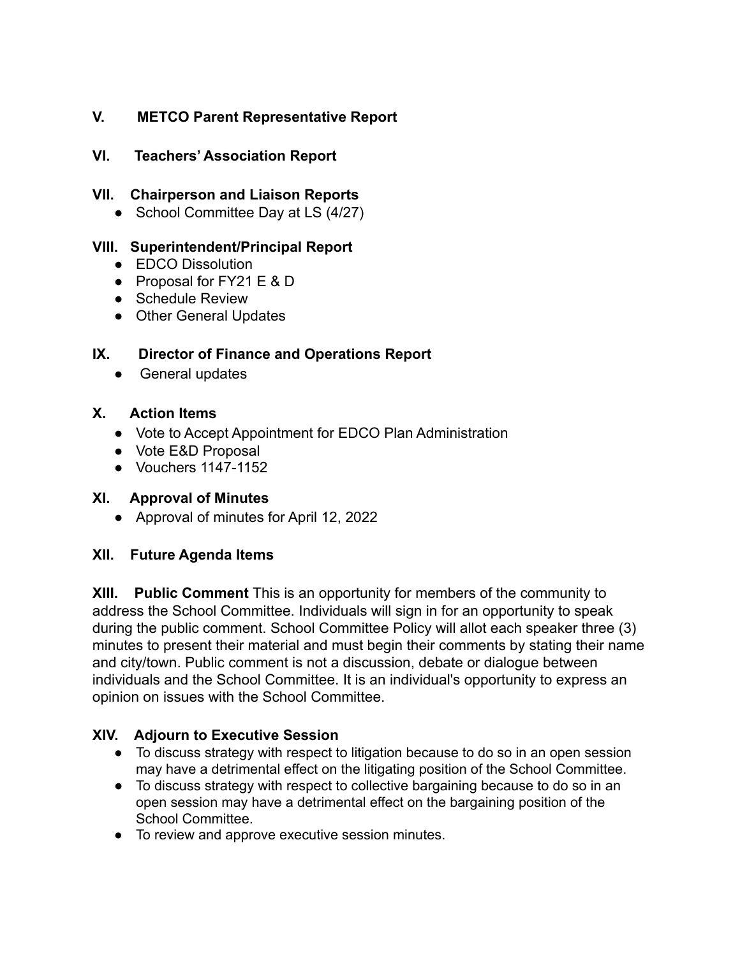# **V. METCO Parent Representative Report**

## **VI. Teachers' Association Report**

### **VII. Chairperson and Liaison Reports**

• School Committee Day at LS (4/27)

## **VIII. Superintendent/Principal Report**

- EDCO Dissolution
- Proposal for FY21 E & D
- Schedule Review
- Other General Updates

## **IX. Director of Finance and Operations Report**

● General updates

## **X. Action Items**

- Vote to Accept Appointment for EDCO Plan Administration
- Vote E&D Proposal
- Vouchers 1147-1152

#### **XI. Approval of Minutes**

● Approval of minutes for April 12, 2022

## **XII. Future Agenda Items**

**XIII. Public Comment** This is an opportunity for members of the community to address the School Committee. Individuals will sign in for an opportunity to speak during the public comment. School Committee Policy will allot each speaker three (3) minutes to present their material and must begin their comments by stating their name and city/town. Public comment is not a discussion, debate or dialogue between individuals and the School Committee. It is an individual's opportunity to express an opinion on issues with the School Committee.

## **XIV. Adjourn to Executive Session**

- To discuss strategy with respect to litigation because to do so in an open session may have a detrimental effect on the litigating position of the School Committee.
- To discuss strategy with respect to collective bargaining because to do so in an open session may have a detrimental effect on the bargaining position of the School Committee.
- To review and approve executive session minutes.